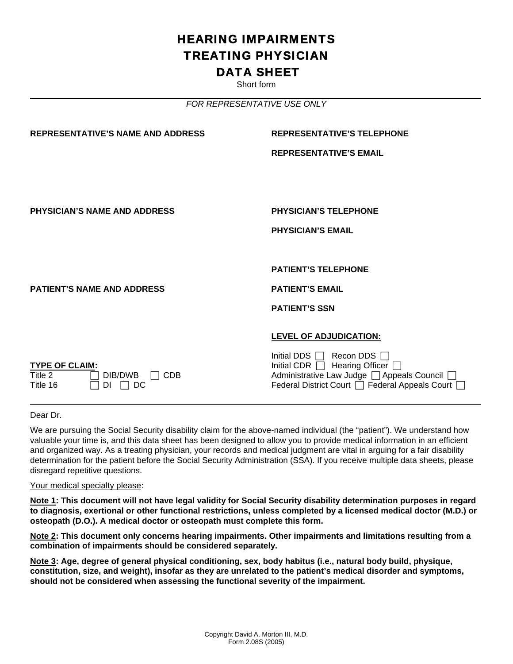## HEARING IMPAIRMENTS TREATING PHYSICIAN DATA SHEET

Short form

*FOR REPRESENTATIVE USE ONLY* 

| <b>REPRESENTATIVE'S TELEPHONE</b>                                                                                                                                                  |
|------------------------------------------------------------------------------------------------------------------------------------------------------------------------------------|
| <b>REPRESENTATIVE'S EMAIL</b>                                                                                                                                                      |
|                                                                                                                                                                                    |
|                                                                                                                                                                                    |
| <b>PHYSICIAN'S TELEPHONE</b>                                                                                                                                                       |
| <b>PHYSICIAN'S EMAIL</b>                                                                                                                                                           |
|                                                                                                                                                                                    |
| <b>PATIENT'S TELEPHONE</b>                                                                                                                                                         |
| <b>PATIENT'S EMAIL</b>                                                                                                                                                             |
| <b>PATIENT'S SSN</b>                                                                                                                                                               |
|                                                                                                                                                                                    |
| <b>LEVEL OF ADJUDICATION:</b>                                                                                                                                                      |
| Initial DDS $\Box$ Recon DDS $\Box$<br>Initial CDR $\Box$ Hearing Officer $\Box$<br>Administrative Law Judge   Appeals Council  <br>Federal District Court   Federal Appeals Court |
|                                                                                                                                                                                    |

Dear Dr.

We are pursuing the Social Security disability claim for the above-named individual (the "patient"). We understand how valuable your time is, and this data sheet has been designed to allow you to provide medical information in an efficient and organized way. As a treating physician, your records and medical judgment are vital in arguing for a fair disability determination for the patient before the Social Security Administration (SSA). If you receive multiple data sheets, please disregard repetitive questions.

Your medical specialty please:

**Note 1: This document will not have legal validity for Social Security disability determination purposes in regard to diagnosis, exertional or other functional restrictions, unless completed by a licensed medical doctor (M.D.) or osteopath (D.O.). A medical doctor or osteopath must complete this form.** 

**Note 2: This document only concerns hearing impairments. Other impairments and limitations resulting from a combination of impairments should be considered separately.** 

**Note 3: Age, degree of general physical conditioning, sex, body habitus (i.e., natural body build, physique, constitution, size, and weight), insofar as they are unrelated to the patient's medical disorder and symptoms, should not be considered when assessing the functional severity of the impairment.**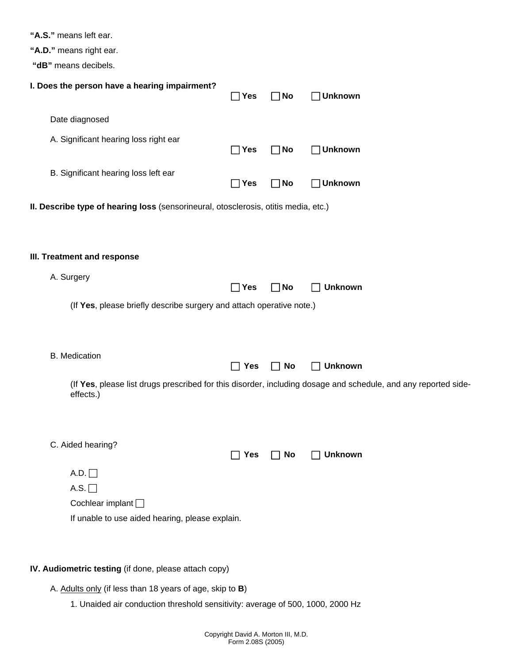|  |  | "A.S." means left ear. |  |
|--|--|------------------------|--|
|--|--|------------------------|--|

| "A.D." means right ear. |  |  |  |
|-------------------------|--|--|--|
|-------------------------|--|--|--|

 **"dB"** means decibels.

| <b>UD</b> Illedits deciders.                                                        |            |              |                                                                                                                |
|-------------------------------------------------------------------------------------|------------|--------------|----------------------------------------------------------------------------------------------------------------|
| I. Does the person have a hearing impairment?                                       | $\Box$ Yes | $\Box$ No    | $\Box$ Unknown                                                                                                 |
| Date diagnosed                                                                      |            |              |                                                                                                                |
| A. Significant hearing loss right ear                                               | $\Box$ Yes | $\square$ No | $\Box$ Unknown                                                                                                 |
| B. Significant hearing loss left ear                                                | $\Box$ Yes | $\Box$ No    | $\Box$ Unknown                                                                                                 |
| II. Describe type of hearing loss (sensorineural, otosclerosis, otitis media, etc.) |            |              |                                                                                                                |
|                                                                                     |            |              |                                                                                                                |
| III. Treatment and response                                                         |            |              |                                                                                                                |
| A. Surgery                                                                          | $\Box$ Yes | <b>No</b>    | <b>Unknown</b>                                                                                                 |
| (If Yes, please briefly describe surgery and attach operative note.)                |            |              |                                                                                                                |
|                                                                                     |            |              |                                                                                                                |
| <b>B.</b> Medication                                                                | $\Box$ Yes | No           | <b>Unknown</b>                                                                                                 |
| effects.)                                                                           |            |              | (If Yes, please list drugs prescribed for this disorder, including dosage and schedule, and any reported side- |
| C. Aided hearing?                                                                   | $\Box$ Yes | No           | <b>Unknown</b>                                                                                                 |
| $A.D. \Box$                                                                         |            |              |                                                                                                                |
| A.S. $\Box$                                                                         |            |              |                                                                                                                |
| Cochlear implant $\Box$                                                             |            |              |                                                                                                                |
| If unable to use aided hearing, please explain.                                     |            |              |                                                                                                                |
|                                                                                     |            |              |                                                                                                                |
|                                                                                     |            |              |                                                                                                                |

## **IV. Audiometric testing** (if done, please attach copy)

A. Adults only (if less than 18 years of age, skip to **B**)

1. Unaided air conduction threshold sensitivity: average of 500, 1000, 2000 Hz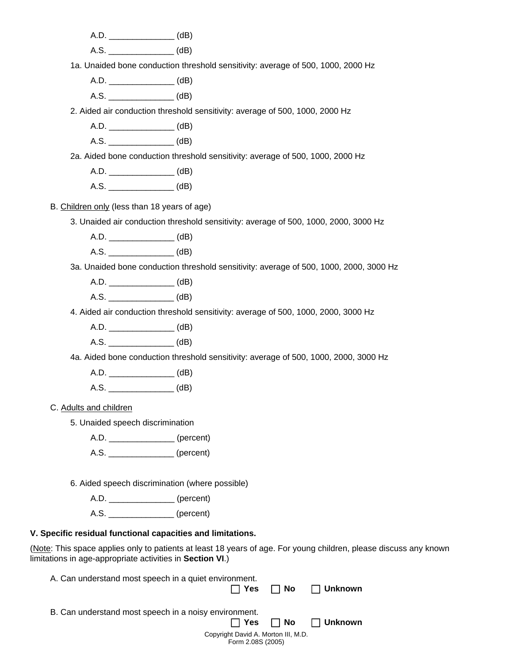A.D.  $(dB)$ 

A.S. (dB)

1a. Unaided bone conduction threshold sensitivity: average of 500, 1000, 2000 Hz

A.D. \_\_\_\_\_\_\_\_\_\_\_\_\_\_ (dB)

A.S. \_\_\_\_\_\_\_\_\_\_\_\_\_\_ (dB)

2. Aided air conduction threshold sensitivity: average of 500, 1000, 2000 Hz

A.D. \_\_\_\_\_\_\_\_\_\_\_\_\_\_ (dB)

A.S. (dB)

2a. Aided bone conduction threshold sensitivity: average of 500, 1000, 2000 Hz

A.D. (dB)

A.S. \_\_\_\_\_\_\_\_\_\_\_\_\_\_ (dB)

B. Children only (less than 18 years of age)

3. Unaided air conduction threshold sensitivity: average of 500, 1000, 2000, 3000 Hz

A.D.  $(dB)$ 

A.S. (dB)

3a. Unaided bone conduction threshold sensitivity: average of 500, 1000, 2000, 3000 Hz

A.D. (dB)

A.S. (dB)

4. Aided air conduction threshold sensitivity: average of 500, 1000, 2000, 3000 Hz

A.D.  $(dB)$ 

A.S. (dB)

4a. Aided bone conduction threshold sensitivity: average of 500, 1000, 2000, 3000 Hz

A.D. \_\_\_\_\_\_\_\_\_\_\_\_\_\_ (dB)

A.S. (dB)

C. Adults and children

5. Unaided speech discrimination

A.D. \_\_\_\_\_\_\_\_\_\_\_\_\_\_ (percent)

A.S. \_\_\_\_\_\_\_\_\_\_\_\_\_\_ (percent)

6. Aided speech discrimination (where possible)

A.D. \_\_\_\_\_\_\_\_\_\_\_\_\_\_ (percent)

A.S.  $(percent)$ 

## **V. Specific residual functional capacities and limitations.**

(Note: This space applies only to patients at least 18 years of age. For young children, please discuss any known limitations in age-appropriate activities in **Section VI**.)

Copyright David A. Morton III, M.D. Form 2.08S (2005) A. Can understand most speech in a quiet environment. F **Yes** F **No** F **Unknown**  B. Can understand most speech in a noisy environment. ■Fig. Yes ■ No ■ Unknown